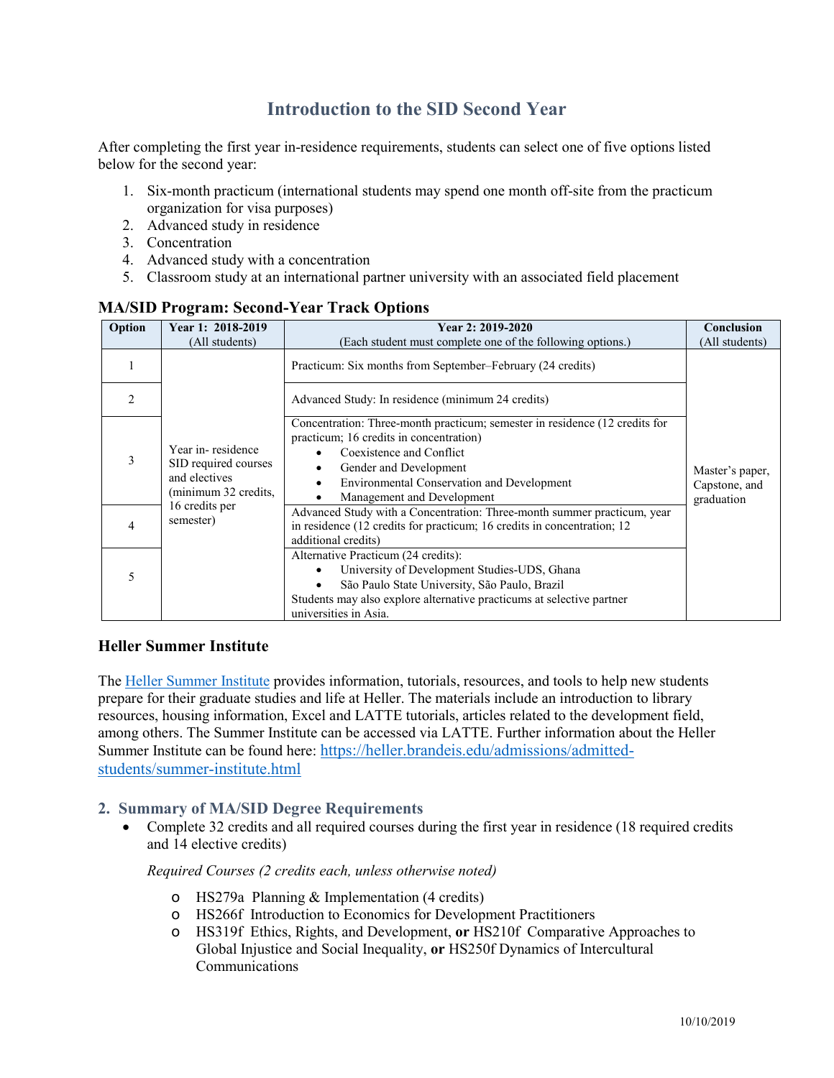# **Introduction to the SID Second Year**

After completing the first year in-residence requirements, students can select one of five options listed below for the second year:

- 1. Six-month practicum (international students may spend one month off-site from the practicum organization for visa purposes)
- 2. Advanced study in residence
- 3. Concentration
- 4. Advanced study with a concentration
- 5. Classroom study at an international partner university with an associated field placement

| Option         | Year 1: 2018-2019<br>(All students)                                                                               | Year 2: 2019-2020<br>(Each student must complete one of the following options.)                                                                                                                                                                                 | Conclusion<br>(All students)                   |
|----------------|-------------------------------------------------------------------------------------------------------------------|-----------------------------------------------------------------------------------------------------------------------------------------------------------------------------------------------------------------------------------------------------------------|------------------------------------------------|
|                | Year in-residence<br>SID required courses<br>and electives<br>(minimum 32 credits,<br>16 credits per<br>semester) | Practicum: Six months from September-February (24 credits)                                                                                                                                                                                                      | Master's paper,<br>Capstone, and<br>graduation |
| $\mathfrak{D}$ |                                                                                                                   | Advanced Study: In residence (minimum 24 credits)                                                                                                                                                                                                               |                                                |
| 3              |                                                                                                                   | Concentration: Three-month practicum; semester in residence (12 credits for<br>practicum; 16 credits in concentration)<br>Coexistence and Conflict<br>Gender and Development<br><b>Environmental Conservation and Development</b><br>Management and Development |                                                |
| 4              |                                                                                                                   | Advanced Study with a Concentration: Three-month summer practicum, year<br>in residence (12 credits for practicum; 16 credits in concentration; 12<br>additional credits)                                                                                       |                                                |
| 5              |                                                                                                                   | Alternative Practicum (24 credits):<br>University of Development Studies-UDS, Ghana<br>São Paulo State University, São Paulo, Brazil<br>Students may also explore alternative practicums at selective partner<br>universities in Asia.                          |                                                |

# **MA/SID Program: Second-Year Track Options**

# **Heller Summer Institute**

The [Heller Summer Institute](https://moodle2.brandeis.edu/course/view.php?id=13881) provides information, tutorials, resources, and tools to help new students prepare for their graduate studies and life at Heller. The materials include an introduction to library resources, housing information, Excel and LATTE tutorials, articles related to the development field, among others. The Summer Institute can be accessed via LATTE. Further information about the Heller Summer Institute can be found here: [https://heller.brandeis.edu/admissions/admitted](https://heller.brandeis.edu/admissions/admitted-students/summer-institute.html)[students/summer-institute.html](https://heller.brandeis.edu/admissions/admitted-students/summer-institute.html)

# **2. Summary of MA/SID Degree Requirements**

• Complete 32 credits and all required courses during the first year in residence (18 required credits and 14 elective credits)

*Required Courses (2 credits each, unless otherwise noted)*

- o HS279a Planning & Implementation (4 credits)
- o HS266f Introduction to Economics for Development Practitioners
- o HS319f Ethics, Rights, and Development, **or** HS210f Comparative Approaches to Global Injustice and Social Inequality, **or** HS250f Dynamics of Intercultural Communications